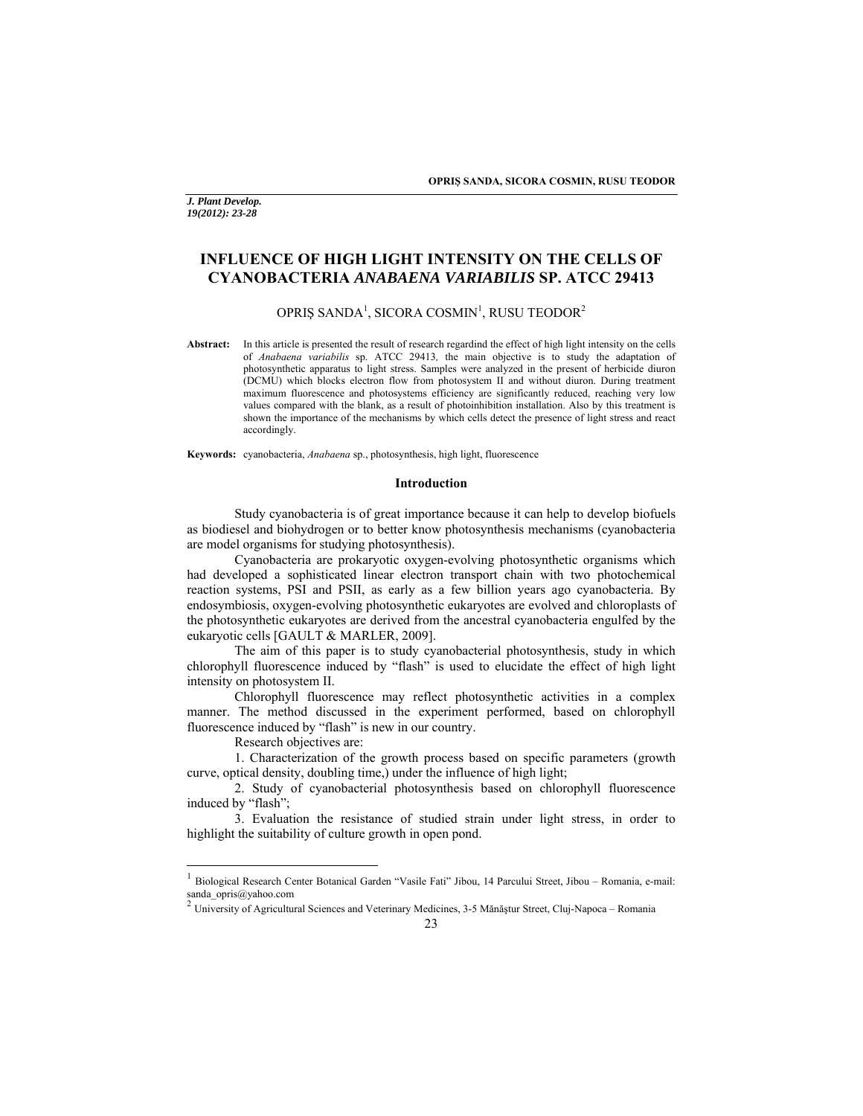**OPRIŞ SANDA, SICORA COSMIN, RUSU TEODOR** 

*J. Plant Develop. 19(2012): 23-28* 

# **INFLUENCE OF HIGH LIGHT INTENSITY ON THE CELLS OF CYANOBACTERIA** *ANABAENA VARIABILIS* **SP. ATCC 29413**

# OPRIŞ SANDA $^1$ , SICORA COSMIN $^1$ , RUSU TEODOR $^2$

**Abstract:** In this article is presented the result of research regardind the effect of high light intensity on the cells of *Anabaena variabilis* sp. ATCC 29413*,* the main objective is to study the adaptation of photosynthetic apparatus to light stress. Samples were analyzed in the present of herbicide diuron (DCMU) which blocks electron flow from photosystem II and without diuron. During treatment maximum fluorescence and photosystems efficiency are significantly reduced, reaching very low values compared with the blank, as a result of photoinhibition installation. Also by this treatment is shown the importance of the mechanisms by which cells detect the presence of light stress and react accordingly.

**Keywords:** cyanobacteria, *Anabaena* sp., photosynthesis, high light, fluorescence

### **Introduction**

Study cyanobacteria is of great importance because it can help to develop biofuels as biodiesel and biohydrogen or to better know photosynthesis mechanisms (cyanobacteria are model organisms for studying photosynthesis).

Cyanobacteria are prokaryotic oxygen-evolving photosynthetic organisms which had developed a sophisticated linear electron transport chain with two photochemical reaction systems, PSI and PSII, as early as a few billion years ago cyanobacteria. By endosymbiosis, oxygen-evolving photosynthetic eukaryotes are evolved and chloroplasts of the photosynthetic eukaryotes are derived from the ancestral cyanobacteria engulfed by the eukaryotic cells [GAULT & MARLER, 2009].

The aim of this paper is to study cyanobacterial photosynthesis, study in which chlorophyll fluorescence induced by "flash" is used to elucidate the effect of high light intensity on photosystem II.

Chlorophyll fluorescence may reflect photosynthetic activities in a complex manner. The method discussed in the experiment performed, based on chlorophyll fluorescence induced by "flash" is new in our country.

Research objectives are:

 $\overline{a}$ 

1. Characterization of the growth process based on specific parameters (growth curve, optical density, doubling time,) under the influence of high light;

2. Study of cyanobacterial photosynthesis based on chlorophyll fluorescence induced by "flash";

3. Evaluation the resistance of studied strain under light stress, in order to highlight the suitability of culture growth in open pond.

<sup>1</sup> Biological Research Center Botanical Garden "Vasile Fati" Jibou, 14 Parcului Street, Jibou – Romania, e-mail: sanda\_opris@yahoo.com

<sup>2</sup> University of Agricultural Sciences and Veterinary Medicines, 3-5 Mănăştur Street, Cluj-Napoca – Romania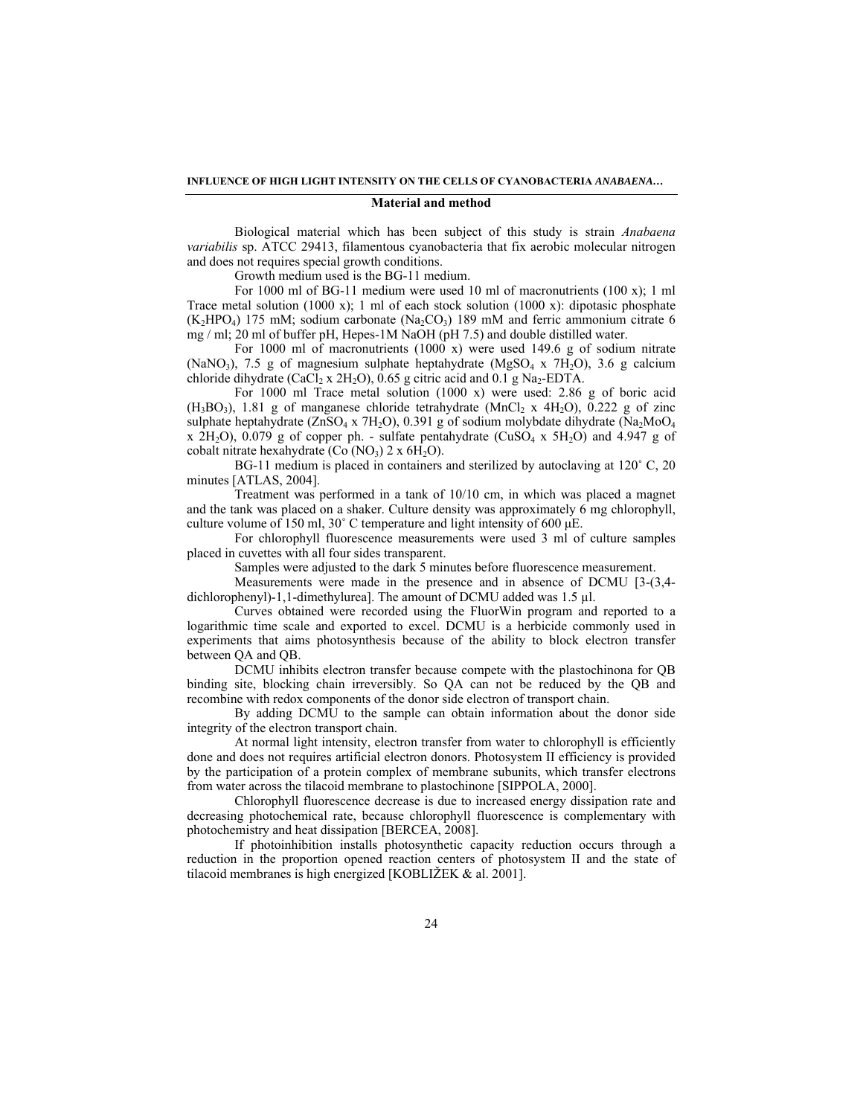#### **INFLUENCE OF HIGH LIGHT INTENSITY ON THE CELLS OF CYANOBACTERIA** *ANABAENA…*

#### **Material and method**

Biological material which has been subject of this study is strain *Anabaena variabilis* sp. ATCC 29413, filamentous cyanobacteria that fix aerobic molecular nitrogen and does not requires special growth conditions.

Growth medium used is the BG-11 medium.

For 1000 ml of BG-11 medium were used 10 ml of macronutrients (100 x); 1 ml Trace metal solution (1000 x); 1 ml of each stock solution (1000 x); dipotasic phosphate  $(K_2HPO_4)$  175 mM; sodium carbonate (Na<sub>2</sub>CO<sub>3</sub>) 189 mM and ferric ammonium citrate 6 mg / ml; 20 ml of buffer pH, Hepes-1M NaOH (pH 7.5) and double distilled water.

For 1000 ml of macronutrients (1000 x) were used 149.6 g of sodium nitrate (NaNO<sub>3</sub>), 7.5 g of magnesium sulphate heptahydrate (MgSO<sub>4</sub> x 7H<sub>2</sub>O), 3.6 g calcium chloride dihydrate (CaCl<sub>2</sub> x 2H<sub>2</sub>O), 0.65 g citric acid and 0.1 g Na<sub>2</sub>-EDTA.

For 1000 ml Trace metal solution (1000 x) were used: 2.86 g of boric acid  $(H_3BO_3)$ , 1.81 g of manganese chloride tetrahydrate  $(MnCl_2 \times 4H_2O)$ , 0.222 g of zinc sulphate heptahydrate (ZnSO<sub>4</sub> x 7H<sub>2</sub>O), 0.391 g of sodium molybdate dihydrate (Na<sub>2</sub>MoO<sub>4</sub> x  $2H_2O$ , 0.079 g of copper ph. - sulfate pentahydrate (CuSO<sub>4</sub> x 5H<sub>2</sub>O) and 4.947 g of cobalt nitrate hexahydrate (Co  $(NO_3)$ ) 2 x  $6H_2O$ ).

BG-11 medium is placed in containers and sterilized by autoclaving at 120˚ C, 20 minutes [ATLAS, 2004].

Treatment was performed in a tank of 10/10 cm, in which was placed a magnet and the tank was placed on a shaker. Culture density was approximately 6 mg chlorophyll, culture volume of 150 ml,  $30^{\circ}$  C temperature and light intensity of 600  $\mu$ E.

For chlorophyll fluorescence measurements were used 3 ml of culture samples placed in cuvettes with all four sides transparent.

Samples were adjusted to the dark 5 minutes before fluorescence measurement.

Measurements were made in the presence and in absence of DCMU [3-(3,4 dichlorophenyl)-1,1-dimethylurea]. The amount of DCMU added was 1.5 µl.

Curves obtained were recorded using the FluorWin program and reported to a logarithmic time scale and exported to excel. DCMU is a herbicide commonly used in experiments that aims photosynthesis because of the ability to block electron transfer between QA and QB.

DCMU inhibits electron transfer because compete with the plastochinona for QB binding site, blocking chain irreversibly. So QA can not be reduced by the QB and recombine with redox components of the donor side electron of transport chain.

By adding DCMU to the sample can obtain information about the donor side integrity of the electron transport chain.

At normal light intensity, electron transfer from water to chlorophyll is efficiently done and does not requires artificial electron donors. Photosystem II efficiency is provided by the participation of a protein complex of membrane subunits, which transfer electrons from water across the tilacoid membrane to plastochinone [SIPPOLA, 2000].

Chlorophyll fluorescence decrease is due to increased energy dissipation rate and decreasing photochemical rate, because chlorophyll fluorescence is complementary with photochemistry and heat dissipation [BERCEA, 2008].

If photoinhibition installs photosynthetic capacity reduction occurs through a reduction in the proportion opened reaction centers of photosystem II and the state of tilacoid membranes is high energized [KOBLI $\angle$ EK & al. 2001].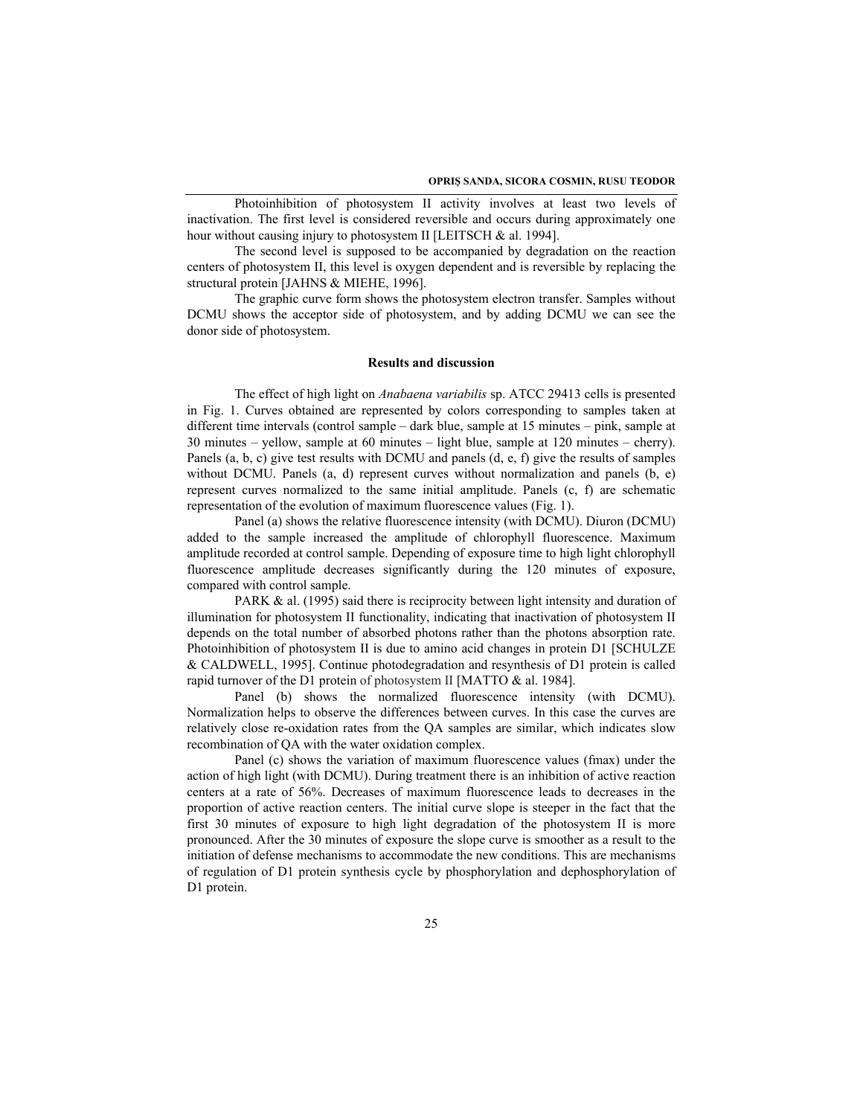Photoinhibition of photosystem II activity involves at least two levels of inactivation. The first level is considered reversible and occurs during approximately one hour without causing injury to photosystem II [LEITSCH & al. 1994].

The second level is supposed to be accompanied by degradation on the reaction centers of photosystem II, this level is oxygen dependent and is reversible by replacing the structural protein [JAHNS & MIEHE, 1996].

The graphic curve form shows the photosystem electron transfer. Samples without DCMU shows the acceptor side of photosystem, and by adding DCMU we can see the donor side of photosystem.

# **Results and discussion**

The effect of high light on *Anabaena variabilis* sp. ATCC 29413 cells is presented in Fig. 1. Curves obtained are represented by colors corresponding to samples taken at different time intervals (control sample – dark blue, sample at 15 minutes – pink, sample at 30 minutes – yellow, sample at 60 minutes – light blue, sample at 120 minutes – cherry). Panels (a, b, c) give test results with DCMU and panels (d, e, f) give the results of samples without DCMU. Panels (a, d) represent curves without normalization and panels (b, e) represent curves normalized to the same initial amplitude. Panels (c, f) are schematic representation of the evolution of maximum fluorescence values (Fig. 1).

Panel (a) shows the relative fluorescence intensity (with DCMU). Diuron (DCMU) added to the sample increased the amplitude of chlorophyll fluorescence. Maximum amplitude recorded at control sample. Depending of exposure time to high light chlorophyll fluorescence amplitude decreases significantly during the 120 minutes of exposure, compared with control sample.

PARK & al. (1995) said there is reciprocity between light intensity and duration of illumination for photosystem II functionality, indicating that inactivation of photosystem II depends on the total number of absorbed photons rather than the photons absorption rate. Photoinhibition of photosystem II is due to amino acid changes in protein D1 [SCHULZE & CALDWELL, 1995]. Continue photodegradation and resynthesis of D1 protein is called rapid turnover of the D1 protein of photosystem II [MATTO & al. 1984].

Panel (b) shows the normalized fluorescence intensity (with DCMU). Normalization helps to observe the differences between curves. In this case the curves are relatively close re-oxidation rates from the QA samples are similar, which indicates slow recombination of QA with the water oxidation complex.

Panel (c) shows the variation of maximum fluorescence values (fmax) under the action of high light (with DCMU). During treatment there is an inhibition of active reaction centers at a rate of 56%. Decreases of maximum fluorescence leads to decreases in the proportion of active reaction centers. The initial curve slope is steeper in the fact that the first 30 minutes of exposure to high light degradation of the photosystem II is more pronounced. After the 30 minutes of exposure the slope curve is smoother as a result to the initiation of defense mechanisms to accommodate the new conditions. This are mechanisms of regulation of D1 protein synthesis cycle by phosphorylation and dephosphorylation of D1 protein.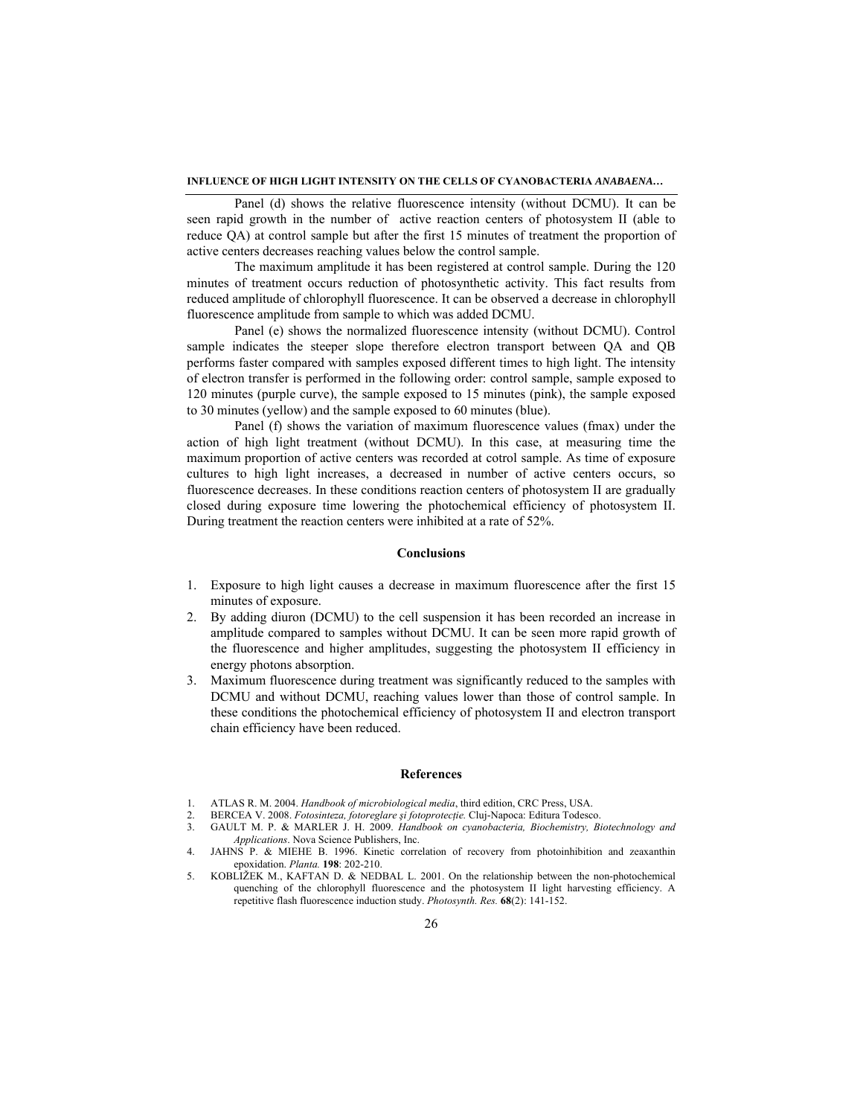### **INFLUENCE OF HIGH LIGHT INTENSITY ON THE CELLS OF CYANOBACTERIA** *ANABAENA…*

Panel (d) shows the relative fluorescence intensity (without DCMU). It can be seen rapid growth in the number of active reaction centers of photosystem II (able to reduce QA) at control sample but after the first 15 minutes of treatment the proportion of active centers decreases reaching values below the control sample.

The maximum amplitude it has been registered at control sample. During the 120 minutes of treatment occurs reduction of photosynthetic activity. This fact results from reduced amplitude of chlorophyll fluorescence. It can be observed a decrease in chlorophyll fluorescence amplitude from sample to which was added DCMU.

Panel (e) shows the normalized fluorescence intensity (without DCMU). Control sample indicates the steeper slope therefore electron transport between QA and QB performs faster compared with samples exposed different times to high light. The intensity of electron transfer is performed in the following order: control sample, sample exposed to 120 minutes (purple curve), the sample exposed to 15 minutes (pink), the sample exposed to 30 minutes (yellow) and the sample exposed to 60 minutes (blue).

Panel (f) shows the variation of maximum fluorescence values (fmax) under the action of high light treatment (without DCMU). In this case, at measuring time the maximum proportion of active centers was recorded at cotrol sample. As time of exposure cultures to high light increases, a decreased in number of active centers occurs, so fluorescence decreases. In these conditions reaction centers of photosystem II are gradually closed during exposure time lowering the photochemical efficiency of photosystem II. During treatment the reaction centers were inhibited at a rate of 52%.

### **Conclusions**

- 1. Exposure to high light causes a decrease in maximum fluorescence after the first 15 minutes of exposure.
- 2. By adding diuron (DCMU) to the cell suspension it has been recorded an increase in amplitude compared to samples without DCMU. It can be seen more rapid growth of the fluorescence and higher amplitudes, suggesting the photosystem II efficiency in energy photons absorption.
- 3. Maximum fluorescence during treatment was significantly reduced to the samples with DCMU and without DCMU, reaching values lower than those of control sample. In these conditions the photochemical efficiency of photosystem II and electron transport chain efficiency have been reduced.

## **References**

- 1. ATLAS R. M. 2004. *Handbook of microbiological media*, third edition, CRC Press, USA.
- 2. BERCEA V. 2008. *Fotosinteza, fotoreglare şi fotoprotecţie.* Cluj-Napoca: Editura Todesco.
- 3. GAULT M. P. & MARLER J. H. 2009. *Handbook on cyanobacteria, Biochemistry, Biotechnology and Applications*. Nova Science Publishers, Inc.
- 4. JAHNS P. & MIEHE B. 1996. Kinetic correlation of recovery from photoinhibition and zeaxanthin epoxidation. *Planta.* **198**: 202-210.
- 5. KOBLIŽEK M., KAFTAN D. & NEDBAL L. 2001. On the relationship between the non-photochemical quenching of the chlorophyll fluorescence and the photosystem II light harvesting efficiency. A repetitive flash fluorescence induction study. *Photosynth. Res.* **68**(2): 141-152.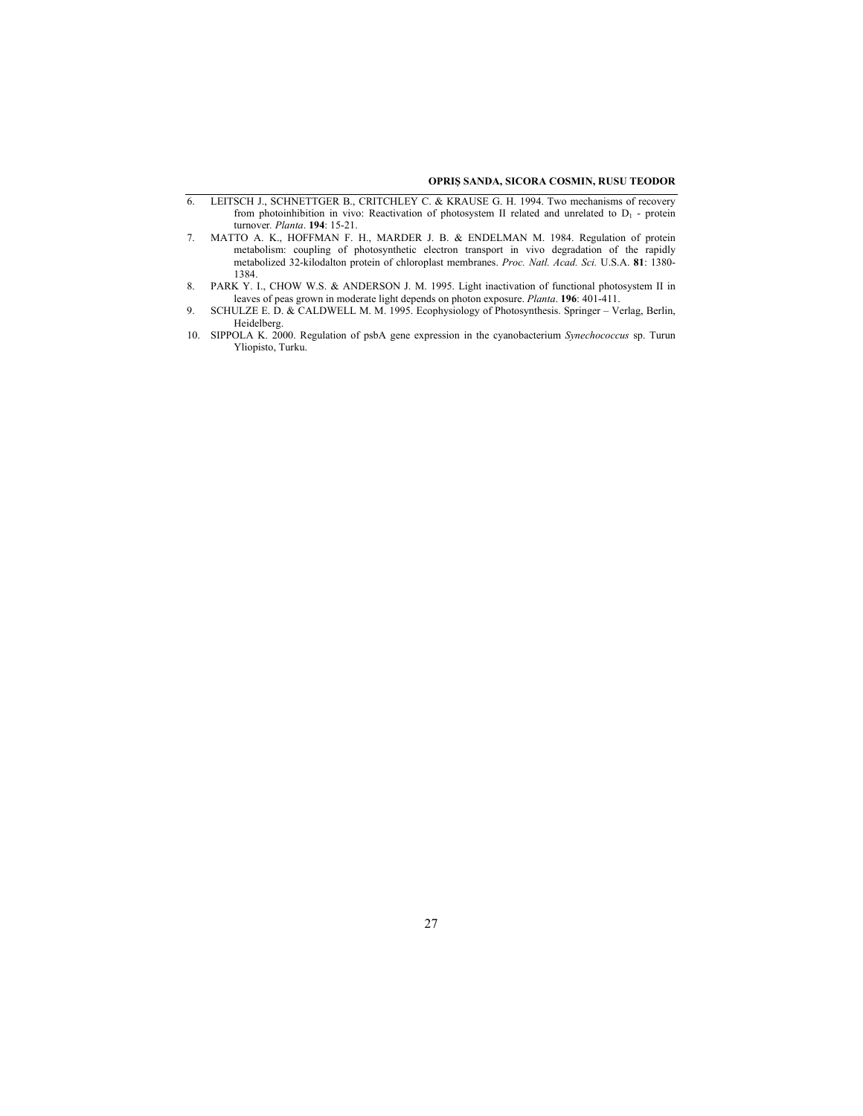#### **OPRIŞ SANDA, SICORA COSMIN, RUSU TEODOR**

- 6. LEITSCH J., SCHNETTGER B., CRITCHLEY C. & KRAUSE G. H. 1994. Two mechanisms of recovery from photoinhibition in vivo: Reactivation of photosystem II related and unrelated to  $D_1$  - protein turnover*. Planta*. **194**: 15-21.
- 7. MATTO A. K., HOFFMAN F. H., MARDER J. B. & ENDELMAN M. 1984. Regulation of protein metabolism: coupling of photosynthetic electron transport in vivo degradation of the rapidly metabolized 32-kilodalton protein of chloroplast membranes. *Proc. Natl. Acad. Sci.* U.S.A. **81**: 1380- 1384.
- 8. PARK Y. I., CHOW W.S. & ANDERSON J. M. 1995. Light inactivation of functional photosystem II in leaves of peas grown in moderate light depends on photon exposure. *Planta*. **196**: 401-411.
- 9. SCHULZE E. D. & CALDWELL M. M. 1995. Ecophysiology of Photosynthesis. Springer Verlag, Berlin, Heidelberg.
- 10. SIPPOLA K. 2000. Regulation of psbA gene expression in the cyanobacterium *Synechococcus* sp. Turun Yliopisto, Turku.